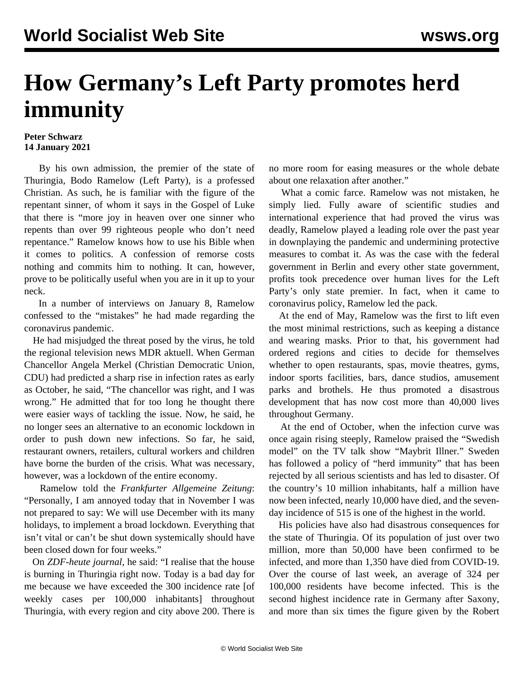## **How Germany's Left Party promotes herd immunity**

## **Peter Schwarz 14 January 2021**

 By his own admission, the premier of the state of Thuringia, Bodo Ramelow (Left Party), is a professed Christian. As such, he is familiar with the figure of the repentant sinner, of whom it says in the Gospel of Luke that there is "more joy in heaven over one sinner who repents than over 99 righteous people who don't need repentance." Ramelow knows how to use his Bible when it comes to politics. A confession of remorse costs nothing and commits him to nothing. It can, however, prove to be politically useful when you are in it up to your neck.

 In a number of interviews on January 8, Ramelow confessed to the "mistakes" he had made regarding the coronavirus pandemic.

 He had misjudged the threat posed by the virus, he told the regional television news MDR aktuell. When German Chancellor Angela Merkel (Christian Democratic Union, CDU) had predicted a sharp rise in infection rates as early as October, he said, "The chancellor was right, and I was wrong." He admitted that for too long he thought there were easier ways of tackling the issue. Now, he said, he no longer sees an alternative to an economic lockdown in order to push down new infections. So far, he said, restaurant owners, retailers, cultural workers and children have borne the burden of the crisis. What was necessary, however, was a lockdown of the entire economy.

 Ramelow told the *Frankfurter Allgemeine Zeitung*: "Personally, I am annoyed today that in November I was not prepared to say: We will use December with its many holidays, to implement a broad lockdown. Everything that isn't vital or can't be shut down systemically should have been closed down for four weeks."

 On *ZDF-heute journal*, he said: "I realise that the house is burning in Thuringia right now. Today is a bad day for me because we have exceeded the 300 incidence rate [of weekly cases per 100,000 inhabitants] throughout Thuringia, with every region and city above 200. There is

no more room for easing measures or the whole debate about one relaxation after another."

 What a comic farce. Ramelow was not mistaken, he simply lied. Fully aware of scientific studies and international experience that had proved the virus was deadly, Ramelow played a leading role over the past year in downplaying the pandemic and undermining protective measures to combat it. As was the case with the federal government in Berlin and every other state government, profits took precedence over human lives for the Left Party's only state premier. In fact, when it came to coronavirus policy, Ramelow led the pack.

 At the end of May, Ramelow was the first to lift even the most minimal restrictions, such as keeping a distance and wearing masks. Prior to that, his government had ordered regions and cities to decide for themselves whether to open restaurants, spas, movie theatres, gyms, indoor sports facilities, bars, dance studios, amusement parks and brothels. He thus promoted a disastrous development that has now cost more than 40,000 lives throughout Germany.

 At the end of October, when the infection curve was once again rising steeply, Ramelow praised the "Swedish model" on the TV talk show "Maybrit Illner." Sweden has followed a policy of "herd immunity" that has been rejected by all serious scientists and has led to disaster. Of the country's 10 million inhabitants, half a million have now been infected, nearly 10,000 have died, and the sevenday incidence of 515 is one of the highest in the world.

 His policies have also had disastrous consequences for the state of Thuringia. Of its population of just over two million, more than 50,000 have been confirmed to be infected, and more than 1,350 have died from COVID-19. Over the course of last week, an average of 324 per 100,000 residents have become infected. This is the second highest incidence rate in Germany after Saxony, and more than six times the figure given by the Robert